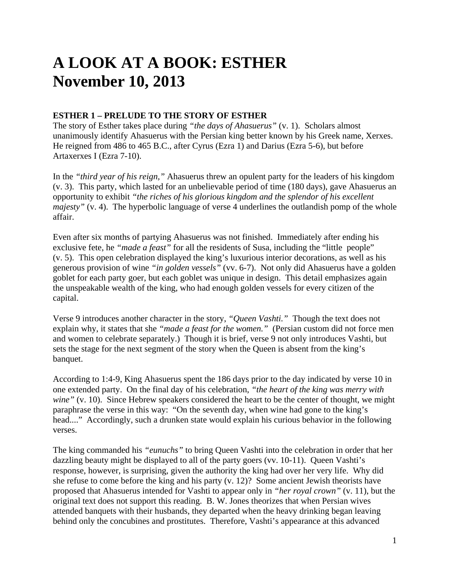# **A LOOK AT A BOOK: ESTHER November 10, 2013**

## **ESTHER 1 – PRELUDE TO THE STORY OF ESTHER**

The story of Esther takes place during *"the days of Ahasuerus"* (v. 1). Scholars almost unanimously identify Ahasuerus with the Persian king better known by his Greek name, Xerxes. He reigned from 486 to 465 B.C., after Cyrus (Ezra 1) and Darius (Ezra 5-6), but before Artaxerxes I (Ezra 7-10).

In the *"third year of his reign,"* Ahasuerus threw an opulent party for the leaders of his kingdom (v. 3). This party, which lasted for an unbelievable period of time (180 days), gave Ahasuerus an opportunity to exhibit *"the riches of his glorious kingdom and the splendor of his excellent majesty"* (v. 4). The hyperbolic language of verse 4 underlines the outlandish pomp of the whole affair.

Even after six months of partying Ahasuerus was not finished. Immediately after ending his exclusive fete, he *"made a feast"* for all the residents of Susa, including the "little people" (v. 5). This open celebration displayed the king's luxurious interior decorations, as well as his generous provision of wine *"in golden vessels"* (vv. 6-7). Not only did Ahasuerus have a golden goblet for each party goer, but each goblet was unique in design. This detail emphasizes again the unspeakable wealth of the king, who had enough golden vessels for every citizen of the capital.

Verse 9 introduces another character in the story, *"Queen Vashti."* Though the text does not explain why, it states that she *"made a feast for the women."* (Persian custom did not force men and women to celebrate separately.) Though it is brief, verse 9 not only introduces Vashti, but sets the stage for the next segment of the story when the Queen is absent from the king's banquet.

According to 1:4-9, King Ahasuerus spent the 186 days prior to the day indicated by verse 10 in one extended party. On the final day of his celebration, *"the heart of the king was merry with wine*" (v. 10). Since Hebrew speakers considered the heart to be the center of thought, we might paraphrase the verse in this way: "On the seventh day, when wine had gone to the king's head...." Accordingly, such a drunken state would explain his curious behavior in the following verses.

The king commanded his *"eunuchs"* to bring Queen Vashti into the celebration in order that her dazzling beauty might be displayed to all of the party goers (vv. 10-11). Queen Vashti's response, however, is surprising, given the authority the king had over her very life. Why did she refuse to come before the king and his party (v. 12)? Some ancient Jewish theorists have proposed that Ahasuerus intended for Vashti to appear only in *"her royal crown"* (v. 11), but the original text does not support this reading. B. W. Jones theorizes that when Persian wives attended banquets with their husbands, they departed when the heavy drinking began leaving behind only the concubines and prostitutes. Therefore, Vashti's appearance at this advanced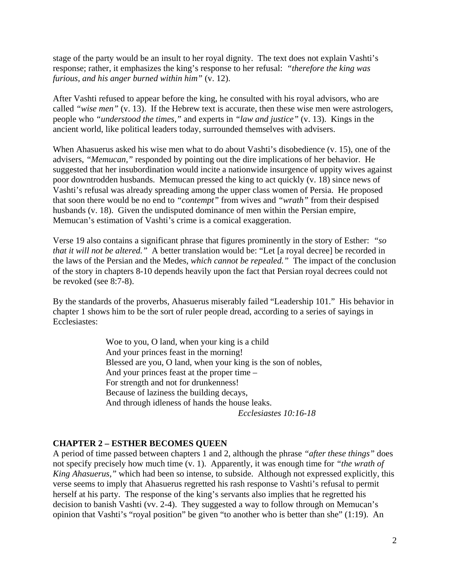stage of the party would be an insult to her royal dignity. The text does not explain Vashti's response; rather, it emphasizes the king's response to her refusal: *"therefore the king was furious, and his anger burned within him"* (v. 12).

After Vashti refused to appear before the king, he consulted with his royal advisors, who are called *"wise men"* (v. 13). If the Hebrew text is accurate, then these wise men were astrologers, people who *"understood the times,"* and experts in *"law and justice"* (v. 13). Kings in the ancient world, like political leaders today, surrounded themselves with advisers.

When Ahasuerus asked his wise men what to do about Vashti's disobedience (v. 15), one of the advisers, *"Memucan,"* responded by pointing out the dire implications of her behavior. He suggested that her insubordination would incite a nationwide insurgence of uppity wives against poor downtrodden husbands. Memucan pressed the king to act quickly (v. 18) since news of Vashti's refusal was already spreading among the upper class women of Persia. He proposed that soon there would be no end to *"contempt"* from wives and *"wrath"* from their despised husbands (v. 18). Given the undisputed dominance of men within the Persian empire, Memucan's estimation of Vashti's crime is a comical exaggeration.

Verse 19 also contains a significant phrase that figures prominently in the story of Esther: *"so that it will not be altered.*" A better translation would be: "Let [a royal decree] be recorded in the laws of the Persian and the Medes, *which cannot be repealed."* The impact of the conclusion of the story in chapters 8-10 depends heavily upon the fact that Persian royal decrees could not be revoked (see 8:7-8).

By the standards of the proverbs, Ahasuerus miserably failed "Leadership 101." His behavior in chapter 1 shows him to be the sort of ruler people dread, according to a series of sayings in Ecclesiastes:

> Woe to you, O land, when your king is a child And your princes feast in the morning! Blessed are you, O land, when your king is the son of nobles, And your princes feast at the proper time – For strength and not for drunkenness! Because of laziness the building decays, And through idleness of hands the house leaks. *Ecclesiastes 10:16-18*

#### **CHAPTER 2 – ESTHER BECOMES QUEEN**

A period of time passed between chapters 1 and 2, although the phrase *"after these things"* does not specify precisely how much time (v. 1). Apparently, it was enough time for *"the wrath of King Ahasuerus,"* which had been so intense, to subside. Although not expressed explicitly, this verse seems to imply that Ahasuerus regretted his rash response to Vashti's refusal to permit herself at his party. The response of the king's servants also implies that he regretted his decision to banish Vashti (vv. 2-4). They suggested a way to follow through on Memucan's opinion that Vashti's "royal position" be given "to another who is better than she" (1:19). An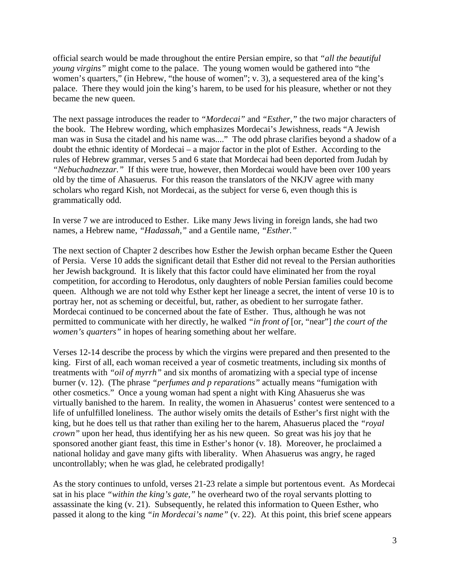official search would be made throughout the entire Persian empire, so that *"all the beautiful young virgins"* might come to the palace. The young women would be gathered into "the women's quarters," (in Hebrew, "the house of women"; v. 3), a sequestered area of the king's palace. There they would join the king's harem, to be used for his pleasure, whether or not they became the new queen.

The next passage introduces the reader to *"Mordecai"* and *"Esther,"* the two major characters of the book. The Hebrew wording, which emphasizes Mordecai's Jewishness, reads "A Jewish man was in Susa the citadel and his name was...." The odd phrase clarifies beyond a shadow of a doubt the ethnic identity of Mordecai – a major factor in the plot of Esther. According to the rules of Hebrew grammar, verses 5 and 6 state that Mordecai had been deported from Judah by *"Nebuchadnezzar."* If this were true, however, then Mordecai would have been over 100 years old by the time of Ahasuerus. For this reason the translators of the NKJV agree with many scholars who regard Kish, not Mordecai, as the subject for verse 6, even though this is grammatically odd.

In verse 7 we are introduced to Esther. Like many Jews living in foreign lands, she had two names, a Hebrew name, *"Hadassah,"* and a Gentile name*, "Esther."*

The next section of Chapter 2 describes how Esther the Jewish orphan became Esther the Queen of Persia. Verse 10 adds the significant detail that Esther did not reveal to the Persian authorities her Jewish background. It is likely that this factor could have eliminated her from the royal competition, for according to Herodotus, only daughters of noble Persian families could become queen. Although we are not told why Esther kept her lineage a secret, the intent of verse 10 is to portray her, not as scheming or deceitful, but, rather, as obedient to her surrogate father. Mordecai continued to be concerned about the fate of Esther. Thus, although he was not permitted to communicate with her directly, he walked *"in front of* [or, "near"] *the court of the women's quarters"* in hopes of hearing something about her welfare.

Verses 12-14 describe the process by which the virgins were prepared and then presented to the king. First of all, each woman received a year of cosmetic treatments, including six months of treatments with *"oil of myrrh"* and six months of aromatizing with a special type of incense burner (v. 12). (The phrase *"perfumes and p reparations"* actually means "fumigation with other cosmetics." Once a young woman had spent a night with King Ahasuerus she was virtually banished to the harem. In reality, the women in Ahasuerus' contest were sentenced to a life of unfulfilled loneliness. The author wisely omits the details of Esther's first night with the king, but he does tell us that rather than exiling her to the harem, Ahasuerus placed the *"royal crown"* upon her head, thus identifying her as his new queen. So great was his joy that he sponsored another giant feast, this time in Esther's honor (v. 18). Moreover, he proclaimed a national holiday and gave many gifts with liberality. When Ahasuerus was angry, he raged uncontrollably; when he was glad, he celebrated prodigally!

As the story continues to unfold, verses 21-23 relate a simple but portentous event. As Mordecai sat in his place *"within the king's gate,"* he overheard two of the royal servants plotting to assassinate the king (v. 21). Subsequently, he related this information to Queen Esther, who passed it along to the king *"in Mordecai's name"* (v. 22). At this point, this brief scene appears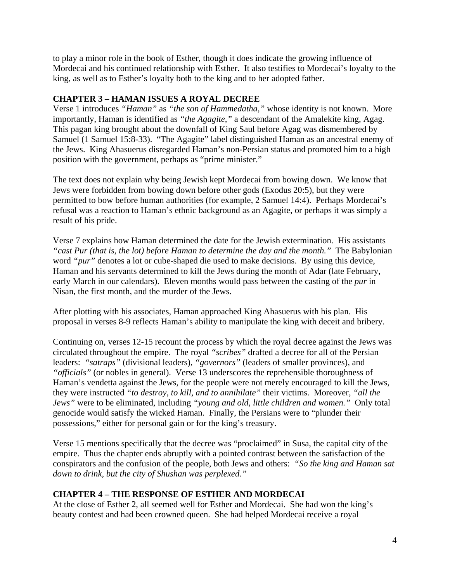to play a minor role in the book of Esther, though it does indicate the growing influence of Mordecai and his continued relationship with Esther. It also testifies to Mordecai's loyalty to the king, as well as to Esther's loyalty both to the king and to her adopted father.

# **CHAPTER 3 – HAMAN ISSUES A ROYAL DECREE**

Verse 1 introduces *"Haman"* as *"the son of Hammedatha,"* whose identity is not known. More importantly, Haman is identified as *"the Agagite,"* a descendant of the Amalekite king, Agag. This pagan king brought about the downfall of King Saul before Agag was dismembered by Samuel (1 Samuel 15:8-33). "The Agagite" label distinguished Haman as an ancestral enemy of the Jews. King Ahasuerus disregarded Haman's non-Persian status and promoted him to a high position with the government, perhaps as "prime minister."

The text does not explain why being Jewish kept Mordecai from bowing down. We know that Jews were forbidden from bowing down before other gods (Exodus 20:5), but they were permitted to bow before human authorities (for example, 2 Samuel 14:4). Perhaps Mordecai's refusal was a reaction to Haman's ethnic background as an Agagite, or perhaps it was simply a result of his pride.

Verse 7 explains how Haman determined the date for the Jewish extermination. His assistants *"cast Pur (that is, the lot) before Haman to determine the day and the month."* The Babylonian word *"pur"* denotes a lot or cube-shaped die used to make decisions. By using this device, Haman and his servants determined to kill the Jews during the month of Adar (late February, early March in our calendars). Eleven months would pass between the casting of the *pur* in Nisan, the first month, and the murder of the Jews.

After plotting with his associates, Haman approached King Ahasuerus with his plan. His proposal in verses 8-9 reflects Haman's ability to manipulate the king with deceit and bribery.

Continuing on, verses 12-15 recount the process by which the royal decree against the Jews was circulated throughout the empire. The royal *"scribes"* drafted a decree for all of the Persian leaders: *"satraps"* (divisional leaders), *"governors"* (leaders of smaller provinces), and *"officials"* (or nobles in general). Verse 13 underscores the reprehensible thoroughness of Haman's vendetta against the Jews, for the people were not merely encouraged to kill the Jews, they were instructed *"to destroy, to kill, and to annihilate"* their victims. Moreover, *"all the Jews"* were to be eliminated, including *"young and old, little children and women."* Only total genocide would satisfy the wicked Haman. Finally, the Persians were to "plunder their possessions," either for personal gain or for the king's treasury.

Verse 15 mentions specifically that the decree was "proclaimed" in Susa, the capital city of the empire. Thus the chapter ends abruptly with a pointed contrast between the satisfaction of the conspirators and the confusion of the people, both Jews and others: *"So the king and Haman sat down to drink, but the city of Shushan was perplexed."* 

## **CHAPTER 4 – THE RESPONSE OF ESTHER AND MORDECAI**

At the close of Esther 2, all seemed well for Esther and Mordecai. She had won the king's beauty contest and had been crowned queen. She had helped Mordecai receive a royal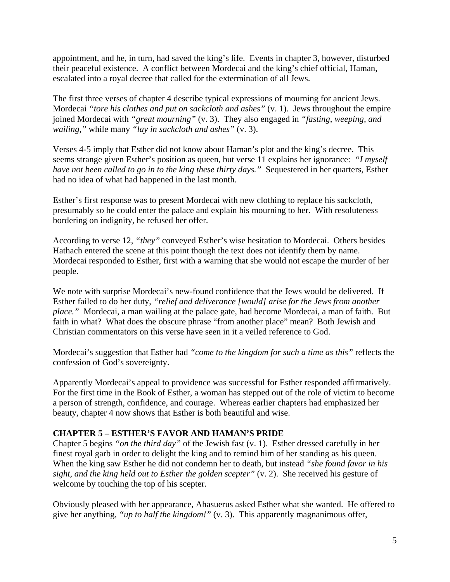appointment, and he, in turn, had saved the king's life. Events in chapter 3, however, disturbed their peaceful existence. A conflict between Mordecai and the king's chief official, Haman, escalated into a royal decree that called for the extermination of all Jews.

The first three verses of chapter 4 describe typical expressions of mourning for ancient Jews. Mordecai *"tore his clothes and put on sackcloth and ashes"* (v. 1). Jews throughout the empire joined Mordecai with *"great mourning"* (v. 3). They also engaged in *"fasting, weeping, and wailing,"* while many *"lay in sackcloth and ashes"* (v. 3).

Verses 4-5 imply that Esther did not know about Haman's plot and the king's decree. This seems strange given Esther's position as queen, but verse 11 explains her ignorance: *"I myself have not been called to go in to the king these thirty days."* Sequestered in her quarters, Esther had no idea of what had happened in the last month.

Esther's first response was to present Mordecai with new clothing to replace his sackcloth, presumably so he could enter the palace and explain his mourning to her. With resoluteness bordering on indignity, he refused her offer.

According to verse 12, *"they"* conveyed Esther's wise hesitation to Mordecai. Others besides Hathach entered the scene at this point though the text does not identify them by name. Mordecai responded to Esther, first with a warning that she would not escape the murder of her people.

We note with surprise Mordecai's new-found confidence that the Jews would be delivered. If Esther failed to do her duty, *"relief and deliverance [would] arise for the Jews from another place."* Mordecai, a man wailing at the palace gate, had become Mordecai, a man of faith. But faith in what? What does the obscure phrase "from another place" mean? Both Jewish and Christian commentators on this verse have seen in it a veiled reference to God.

Mordecai's suggestion that Esther had *"come to the kingdom for such a time as this"* reflects the confession of God's sovereignty.

Apparently Mordecai's appeal to providence was successful for Esther responded affirmatively. For the first time in the Book of Esther, a woman has stepped out of the role of victim to become a person of strength, confidence, and courage. Whereas earlier chapters had emphasized her beauty, chapter 4 now shows that Esther is both beautiful and wise.

#### **CHAPTER 5 – ESTHER'S FAVOR AND HAMAN'S PRIDE**

Chapter 5 begins *"on the third day"* of the Jewish fast (v. 1). Esther dressed carefully in her finest royal garb in order to delight the king and to remind him of her standing as his queen. When the king saw Esther he did not condemn her to death, but instead *"she found favor in his sight, and the king held out to Esther the golden scepter"* (v. 2). She received his gesture of welcome by touching the top of his scepter.

Obviously pleased with her appearance, Ahasuerus asked Esther what she wanted. He offered to give her anything, *"up to half the kingdom!"* (v. 3). This apparently magnanimous offer,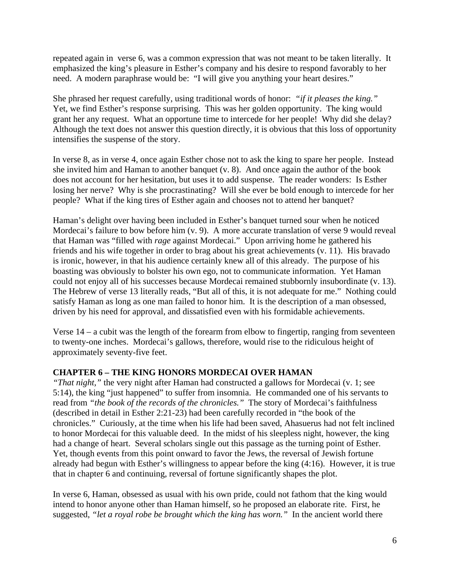repeated again in verse 6, was a common expression that was not meant to be taken literally. It emphasized the king's pleasure in Esther's company and his desire to respond favorably to her need. A modern paraphrase would be: "I will give you anything your heart desires."

She phrased her request carefully, using traditional words of honor: *"if it pleases the king."* Yet, we find Esther's response surprising. This was her golden opportunity. The king would grant her any request. What an opportune time to intercede for her people! Why did she delay? Although the text does not answer this question directly, it is obvious that this loss of opportunity intensifies the suspense of the story.

In verse 8, as in verse 4, once again Esther chose not to ask the king to spare her people. Instead she invited him and Haman to another banquet (v. 8). And once again the author of the book does not account for her hesitation, but uses it to add suspense. The reader wonders: Is Esther losing her nerve? Why is she procrastinating? Will she ever be bold enough to intercede for her people? What if the king tires of Esther again and chooses not to attend her banquet?

Haman's delight over having been included in Esther's banquet turned sour when he noticed Mordecai's failure to bow before him (v. 9). A more accurate translation of verse 9 would reveal that Haman was "filled with *rage* against Mordecai." Upon arriving home he gathered his friends and his wife together in order to brag about his great achievements (v. 11). His bravado is ironic, however, in that his audience certainly knew all of this already. The purpose of his boasting was obviously to bolster his own ego, not to communicate information. Yet Haman could not enjoy all of his successes because Mordecai remained stubbornly insubordinate (v. 13). The Hebrew of verse 13 literally reads, "But all of this, it is not adequate for me." Nothing could satisfy Haman as long as one man failed to honor him. It is the description of a man obsessed, driven by his need for approval, and dissatisfied even with his formidable achievements.

Verse 14 – a cubit was the length of the forearm from elbow to fingertip, ranging from seventeen to twenty-one inches. Mordecai's gallows, therefore, would rise to the ridiculous height of approximately seventy-five feet.

## **CHAPTER 6 – THE KING HONORS MORDECAI OVER HAMAN**

*"That night,"* the very night after Haman had constructed a gallows for Mordecai (v. 1; see 5:14), the king "just happened" to suffer from insomnia. He commanded one of his servants to read from *"the book of the records of the chronicles."* The story of Mordecai's faithfulness (described in detail in Esther 2:21-23) had been carefully recorded in "the book of the chronicles." Curiously, at the time when his life had been saved, Ahasuerus had not felt inclined to honor Mordecai for this valuable deed. In the midst of his sleepless night, however, the king had a change of heart. Several scholars single out this passage as the turning point of Esther. Yet, though events from this point onward to favor the Jews, the reversal of Jewish fortune already had begun with Esther's willingness to appear before the king (4:16). However, it is true that in chapter 6 and continuing, reversal of fortune significantly shapes the plot.

In verse 6, Haman, obsessed as usual with his own pride, could not fathom that the king would intend to honor anyone other than Haman himself, so he proposed an elaborate rite. First, he suggested, *"let a royal robe be brought which the king has worn."* In the ancient world there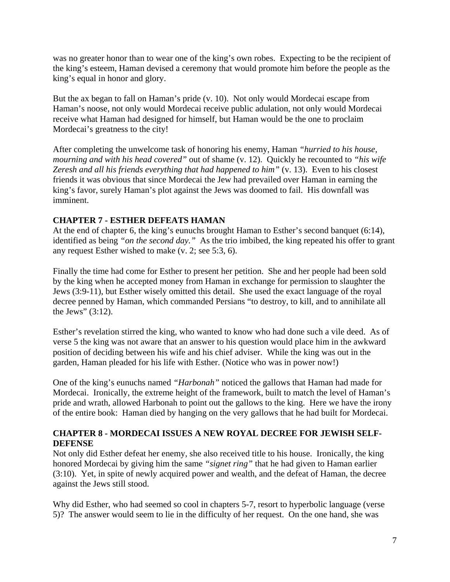was no greater honor than to wear one of the king's own robes. Expecting to be the recipient of the king's esteem, Haman devised a ceremony that would promote him before the people as the king's equal in honor and glory.

But the ax began to fall on Haman's pride (v. 10). Not only would Mordecai escape from Haman's noose, not only would Mordecai receive public adulation, not only would Mordecai receive what Haman had designed for himself, but Haman would be the one to proclaim Mordecai's greatness to the city!

After completing the unwelcome task of honoring his enemy, Haman *"hurried to his house, mourning and with his head covered"* out of shame (v. 12). Quickly he recounted to *"his wife Zeresh and all his friends everything that had happened to him"* (v. 13). Even to his closest friends it was obvious that since Mordecai the Jew had prevailed over Haman in earning the king's favor, surely Haman's plot against the Jews was doomed to fail. His downfall was imminent.

## **CHAPTER 7 - ESTHER DEFEATS HAMAN**

At the end of chapter 6, the king's eunuchs brought Haman to Esther's second banquet (6:14), identified as being *"on the second day."* As the trio imbibed, the king repeated his offer to grant any request Esther wished to make (v. 2; see 5:3, 6).

Finally the time had come for Esther to present her petition. She and her people had been sold by the king when he accepted money from Haman in exchange for permission to slaughter the Jews (3:9-11), but Esther wisely omitted this detail. She used the exact language of the royal decree penned by Haman, which commanded Persians "to destroy, to kill, and to annihilate all the Jews"  $(3:12)$ .

Esther's revelation stirred the king, who wanted to know who had done such a vile deed. As of verse 5 the king was not aware that an answer to his question would place him in the awkward position of deciding between his wife and his chief adviser. While the king was out in the garden, Haman pleaded for his life with Esther. (Notice who was in power now!)

One of the king's eunuchs named *"Harbonah"* noticed the gallows that Haman had made for Mordecai. Ironically, the extreme height of the framework, built to match the level of Haman's pride and wrath, allowed Harbonah to point out the gallows to the king. Here we have the irony of the entire book: Haman died by hanging on the very gallows that he had built for Mordecai.

## **CHAPTER 8 - MORDECAI ISSUES A NEW ROYAL DECREE FOR JEWISH SELF-DEFENSE**

Not only did Esther defeat her enemy, she also received title to his house. Ironically, the king honored Mordecai by giving him the same *"signet ring"* that he had given to Haman earlier (3:10). Yet, in spite of newly acquired power and wealth, and the defeat of Haman, the decree against the Jews still stood.

Why did Esther, who had seemed so cool in chapters 5-7, resort to hyperbolic language (verse 5)? The answer would seem to lie in the difficulty of her request. On the one hand, she was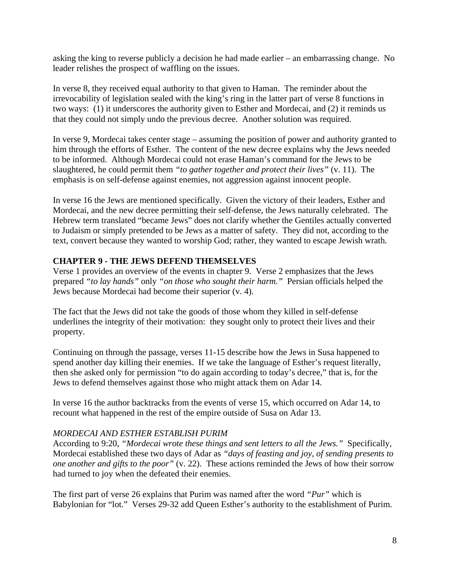asking the king to reverse publicly a decision he had made earlier – an embarrassing change. No leader relishes the prospect of waffling on the issues.

In verse 8, they received equal authority to that given to Haman. The reminder about the irrevocability of legislation sealed with the king's ring in the latter part of verse 8 functions in two ways: (1) it underscores the authority given to Esther and Mordecai, and (2) it reminds us that they could not simply undo the previous decree. Another solution was required.

In verse 9, Mordecai takes center stage – assuming the position of power and authority granted to him through the efforts of Esther. The content of the new decree explains why the Jews needed to be informed. Although Mordecai could not erase Haman's command for the Jews to be slaughtered, he could permit them *"to gather together and protect their lives"* (v. 11). The emphasis is on self-defense against enemies, not aggression against innocent people.

In verse 16 the Jews are mentioned specifically. Given the victory of their leaders, Esther and Mordecai, and the new decree permitting their self-defense, the Jews naturally celebrated. The Hebrew term translated "became Jews" does not clarify whether the Gentiles actually converted to Judaism or simply pretended to be Jews as a matter of safety. They did not, according to the text, convert because they wanted to worship God; rather, they wanted to escape Jewish wrath.

# **CHAPTER 9 - THE JEWS DEFEND THEMSELVES**

Verse 1 provides an overview of the events in chapter 9. Verse 2 emphasizes that the Jews prepared *"to lay hands"* only *"on those who sought their harm."* Persian officials helped the Jews because Mordecai had become their superior (v. 4).

The fact that the Jews did not take the goods of those whom they killed in self-defense underlines the integrity of their motivation: they sought only to protect their lives and their property.

Continuing on through the passage, verses 11-15 describe how the Jews in Susa happened to spend another day killing their enemies. If we take the language of Esther's request literally, then she asked only for permission "to do again according to today's decree," that is, for the Jews to defend themselves against those who might attack them on Adar 14.

In verse 16 the author backtracks from the events of verse 15, which occurred on Adar 14, to recount what happened in the rest of the empire outside of Susa on Adar 13.

#### *MORDECAI AND ESTHER ESTABLISH PURIM*

According to 9:20, *"Mordecai wrote these things and sent letters to all the Jews."* Specifically, Mordecai established these two days of Adar as *"days of feasting and joy, of sending presents to one another and gifts to the poor"* (v. 22). These actions reminded the Jews of how their sorrow had turned to joy when the defeated their enemies.

The first part of verse 26 explains that Purim was named after the word *"Pur"* which is Babylonian for "lot." Verses 29-32 add Queen Esther's authority to the establishment of Purim.